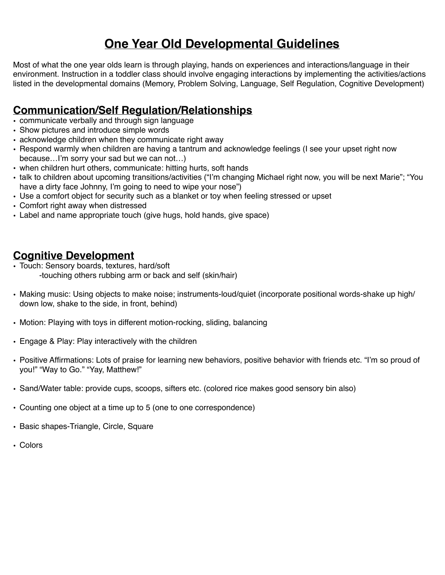# **One Year Old Developmental Guidelines**

Most of what the one year olds learn is through playing, hands on experiences and interactions/language in their environment. Instruction in a toddler class should involve engaging interactions by implementing the activities/actions listed in the developmental domains (Memory, Problem Solving, Language, Self Regulation, Cognitive Development)

## **Communication/Self Regulation/Relationships**

- communicate verbally and through sign language
- Show pictures and introduce simple words
- acknowledge children when they communicate right away
- Respond warmly when children are having a tantrum and acknowledge feelings (I see your upset right now because…I'm sorry your sad but we can not…)
- when children hurt others, communicate: hitting hurts, soft hands
- talk to children about upcoming transitions/activities ("I'm changing Michael right now, you will be next Marie"; "You have a dirty face Johnny, I'm going to need to wipe your nose")
- Use a comfort object for security such as a blanket or toy when feeling stressed or upset
- Comfort right away when distressed
- Label and name appropriate touch (give hugs, hold hands, give space)

## **Cognitive Development**

- Touch: Sensory boards, textures, hard/soft -touching others rubbing arm or back and self (skin/hair)
- Making music: Using objects to make noise; instruments-loud/quiet (incorporate positional words-shake up high/ down low, shake to the side, in front, behind)
- Motion: Playing with toys in different motion-rocking, sliding, balancing
- Engage & Play: Play interactively with the children
- Positive Affirmations: Lots of praise for learning new behaviors, positive behavior with friends etc. "I'm so proud of you!" "Way to Go." "Yay, Matthew!"
- Sand/Water table: provide cups, scoops, sifters etc. (colored rice makes good sensory bin also)
- Counting one object at a time up to 5 (one to one correspondence)
- Basic shapes-Triangle, Circle, Square
- Colors